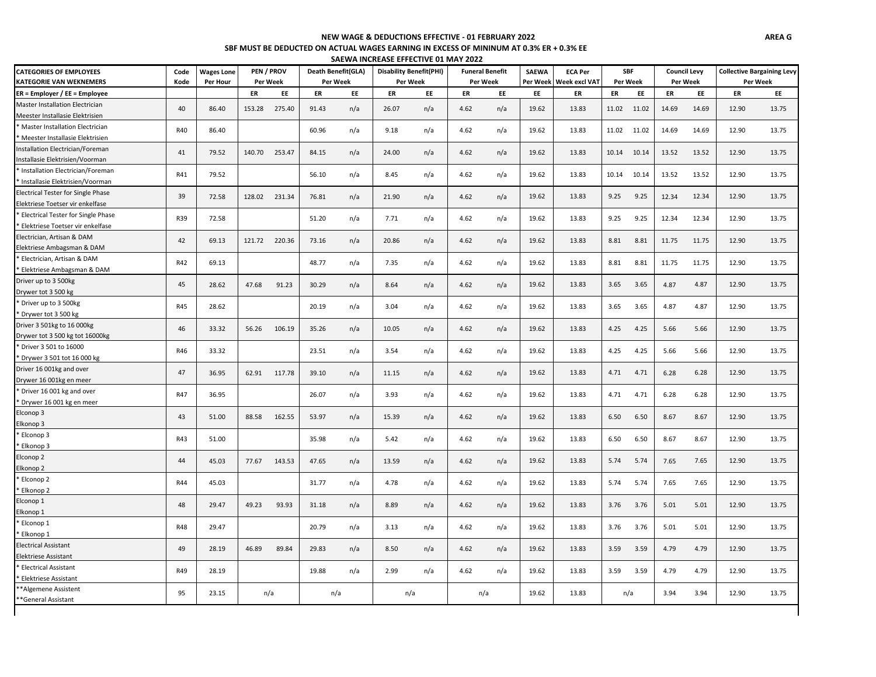# **NEW WAGE & DEDUCTIONS EFFECTIVE - 01 FEBRUARY 2022**

### **SBF MUST BE DEDUCTED ON ACTUAL WAGES EARNING IN EXCESS OF MININUM AT 0.3% ER + 0.3% EE**

| SAEWA INCREASE EFFECTIVE 01 MAY 2022            |                   |        |            |                    |     |       |                                |                        |     |              |                |            |       |          |                     |                                   |       |
|-------------------------------------------------|-------------------|--------|------------|--------------------|-----|-------|--------------------------------|------------------------|-----|--------------|----------------|------------|-------|----------|---------------------|-----------------------------------|-------|
| <b>CATEGORIES OF EMPLOYEES</b><br>Code          | <b>Wages Lone</b> |        | PEN / PROV | Death Benefit(GLA) |     |       | <b>Disability Benefit(PHI)</b> | <b>Funeral Benefit</b> |     | <b>SAEWA</b> | <b>ECA Per</b> | <b>SBF</b> |       |          | <b>Council Levy</b> | <b>Collective Bargaining Levy</b> |       |
| <b>KATEGORIE VAN WEKNEMERS</b><br>Kode          | Per Hour          |        | Per Week   | Per Week           |     |       | Per Week                       | Per Week               |     | Per Week     | Week excl VAT  | Per Week   |       | Per Week |                     | Per Week                          |       |
| ER = Employer / EE = Employee                   |                   | ER     | EE         | ER                 | EE  | ER    | EE                             | ER                     | EE  | EE           | ER             | ER         | EE    | ER       | EE                  | ER                                | EE    |
| Master Installation Electrician<br>40           | 86.40             | 153.28 | 275.40     | 91.43              | n/a | 26.07 | n/a                            | 4.62                   | n/a | 19.62        | 13.83          | 11.02      | 11.02 | 14.69    | 14.69               | 12.90                             | 13.75 |
| Meester Installasie Elektrisien                 |                   |        |            |                    |     |       |                                |                        |     |              |                |            |       |          |                     |                                   |       |
| * Master Installation Electrician<br>R40        | 86.40             |        |            | 60.96              | n/a | 9.18  | n/a                            | 4.62                   | n/a | 19.62        | 13.83          | 11.02      | 11.02 | 14.69    | 14.69               | 12.90                             | 13.75 |
| * Meester Installasie Elektrisien               |                   |        |            |                    |     |       |                                |                        |     |              |                |            |       |          |                     |                                   |       |
| Installation Electrician/Foreman<br>41          | 79.52             | 140.70 | 253.47     | 84.15              | n/a | 24.00 | n/a                            | 4.62                   | n/a | 19.62        | 13.83          | 10.14      | 10.14 | 13.52    | 13.52               | 12.90                             | 13.75 |
| Installasie Elektrisien/Voorman                 |                   |        |            |                    |     |       |                                |                        |     |              |                |            |       |          |                     |                                   |       |
| * Installation Electrician/Foreman<br>R41       | 79.52             |        |            | 56.10              | n/a | 8.45  | n/a                            | 4.62                   | n/a | 19.62        | 13.83          | 10.14      | 10.14 | 13.52    | 13.52               | 12.90                             | 13.75 |
| * Installasie Elektrisien/Voorman               |                   |        |            |                    |     |       |                                |                        |     |              |                |            |       |          |                     |                                   |       |
| <b>Electrical Tester for Single Phase</b><br>39 | 72.58             | 128.02 | 231.34     | 76.81              | n/a | 21.90 | n/a                            | 4.62                   | n/a | 19.62        | 13.83          | 9.25       | 9.25  | 12.34    | 12.34               | 12.90                             | 13.75 |
| Elektriese Toetser vir enkelfase                |                   |        |            |                    |     |       |                                |                        |     |              |                |            |       |          |                     |                                   |       |
| * Electrical Tester for Single Phase<br>R39     | 72.58             |        |            | 51.20              | n/a | 7.71  | n/a                            | 4.62                   | n/a | 19.62        | 13.83          | 9.25       | 9.25  | 12.34    | 12.34               | 12.90                             | 13.75 |
| * Elektriese Toetser vir enkelfase              |                   |        |            |                    |     |       |                                |                        |     |              |                |            |       |          |                     |                                   |       |
| Electrician, Artisan & DAM<br>42                | 69.13             | 121.72 | 220.36     | 73.16              | n/a | 20.86 | n/a                            | 4.62                   | n/a | 19.62        | 13.83          | 8.81       | 8.81  | 11.75    | 11.75               | 12.90                             | 13.75 |
| Elektriese Ambagsman & DAM                      |                   |        |            |                    |     |       |                                |                        |     |              |                |            |       |          |                     |                                   |       |
| * Electrician, Artisan & DAM<br>R42             | 69.13             |        |            | 48.77              | n/a | 7.35  | n/a                            | 4.62                   | n/a | 19.62        | 13.83          | 8.81       | 8.81  | 11.75    | 11.75               | 12.90                             | 13.75 |
| * Elektriese Ambagsman & DAM                    |                   |        |            |                    |     |       |                                |                        |     |              |                |            |       |          |                     |                                   |       |
| Driver up to 3 500kg<br>45                      | 28.62             | 47.68  | 91.23      | 30.29              | n/a | 8.64  | n/a                            | 4.62                   | n/a | 19.62        | 13.83          | 3.65       | 3.65  | 4.87     | 4.87                | 12.90                             | 13.75 |
| Drywer tot 3 500 kg                             |                   |        |            |                    |     |       |                                |                        |     |              |                |            |       |          |                     |                                   |       |
| * Driver up to 3 500kg<br><b>R45</b>            | 28.62             |        |            | 20.19              | n/a | 3.04  | n/a                            | 4.62                   | n/a | 19.62        | 13.83          | 3.65       | 3.65  | 4.87     | 4.87                | 12.90                             | 13.75 |
| * Drywer tot 3 500 kg                           |                   |        |            |                    |     |       |                                |                        |     |              |                |            |       |          |                     |                                   |       |
| Driver 3 501kg to 16 000kg<br>46                | 33.32             | 56.26  | 106.19     | 35.26              | n/a | 10.05 | n/a                            | 4.62                   | n/a | 19.62        | 13.83          | 4.25       | 4.25  | 5.66     | 5.66                | 12.90                             | 13.75 |
| Drywer tot 3 500 kg tot 16000kg                 |                   |        |            |                    |     |       |                                |                        |     |              |                |            |       |          |                     |                                   |       |
| * Driver 3 501 to 16000<br>R46                  | 33.32             |        |            | 23.51              | n/a | 3.54  | n/a                            | 4.62                   | n/a | 19.62        | 13.83          | 4.25       | 4.25  | 5.66     | 5.66                | 12.90                             | 13.75 |
| * Drywer 3 501 tot 16 000 kg                    |                   |        |            |                    |     |       |                                |                        |     |              |                |            |       |          |                     |                                   |       |
| Driver 16 001kg and over<br>47                  | 36.95             | 62.91  | 117.78     | 39.10              | n/a | 11.15 | n/a                            | 4.62                   | n/a | 19.62        | 13.83          | 4.71       | 4.71  | 6.28     | 6.28                | 12.90                             | 13.75 |
| Drywer 16 001kg en meer                         |                   |        |            |                    |     |       |                                |                        |     |              |                |            |       |          |                     |                                   |       |
| * Driver 16 001 kg and over<br>R47              | 36.95             |        |            | 26.07              | n/a | 3.93  | n/a                            | 4.62                   | n/a | 19.62        | 13.83          | 4.71       | 4.71  | 6.28     | 6.28                | 12.90                             | 13.75 |
| * Drywer 16 001 kg en meer                      |                   |        |            |                    |     |       |                                |                        |     |              |                |            |       |          |                     |                                   |       |
| Elconop 3<br>43                                 | 51.00             | 88.58  | 162.55     | 53.97              | n/a | 15.39 | n/a                            | 4.62                   | n/a | 19.62        | 13.83          | 6.50       | 6.50  | 8.67     | 8.67                | 12.90                             | 13.75 |
| Elkonop 3                                       |                   |        |            |                    |     |       |                                |                        |     |              |                |            |       |          |                     |                                   |       |
| * Elconop 3<br>R43                              | 51.00             |        |            | 35.98              | n/a | 5.42  | n/a                            | 4.62                   | n/a | 19.62        | 13.83          | 6.50       | 6.50  | 8.67     | 8.67                | 12.90                             | 13.75 |
| Elkonop 3                                       |                   |        |            |                    |     |       |                                |                        |     |              |                |            |       |          |                     |                                   |       |
| Elconop 2<br>44                                 | 45.03             | 77.67  | 143.53     | 47.65              | n/a | 13.59 | n/a                            | 4.62                   | n/a | 19.62        | 13.83          | 5.74       | 5.74  | 7.65     | 7.65                | 12.90                             | 13.75 |
| Elkonop 2<br>* Elconop 2                        |                   |        |            |                    |     |       |                                |                        |     |              |                |            |       |          |                     |                                   |       |
| R44<br>Elkonop <sub>2</sub>                     | 45.03             |        |            | 31.77              | n/a | 4.78  | n/a                            | 4.62                   | n/a | 19.62        | 13.83          | 5.74       | 5.74  | 7.65     | 7.65                | 12.90                             | 13.75 |
| Elconop 1                                       |                   |        |            |                    |     |       |                                |                        |     |              |                |            |       |          |                     |                                   |       |
| 48<br>Elkonop 1                                 | 29.47             | 49.23  | 93.93      | 31.18              | n/a | 8.89  | n/a                            | 4.62                   | n/a | 19.62        | 13.83          | 3.76       | 3.76  | 5.01     | 5.01                | 12.90                             | 13.75 |
| * Elconop 1                                     |                   |        |            |                    |     |       |                                |                        |     |              |                |            |       |          |                     |                                   |       |
| <b>R48</b><br>* Elkonop 1                       | 29.47             |        |            | 20.79              | n/a | 3.13  | n/a                            | 4.62                   | n/a | 19.62        | 13.83          | 3.76       | 3.76  | 5.01     | 5.01                | 12.90                             | 13.75 |
| <b>Electrical Assistant</b>                     |                   |        |            |                    |     |       |                                |                        |     |              |                |            |       |          |                     |                                   |       |
| 49<br>Elektriese Assistant                      | 28.19             | 46.89  | 89.84      | 29.83              | n/a | 8.50  | n/a                            | 4.62                   | n/a | 19.62        | 13.83          | 3.59       | 3.59  | 4.79     | 4.79                | 12.90                             | 13.75 |
| * Electrical Assistant                          |                   |        |            |                    |     |       |                                |                        |     |              |                |            |       |          |                     |                                   |       |
| R49<br><b>Elektriese Assistant</b>              | 28.19             |        |            | 19.88              | n/a | 2.99  | n/a                            | 4.62                   | n/a | 19.62        | 13.83          | 3.59       | 3.59  | 4.79     | 4.79                | 12.90                             | 13.75 |
| **Algemene Assistent                            |                   |        |            |                    |     |       |                                |                        |     |              |                |            |       |          |                     |                                   |       |
| 95<br>**General Assistant                       | 23.15             |        | n/a        | n/a                |     |       | n/a                            |                        | n/a | 19.62        | 13.83          | n/a        |       | 3.94     | 3.94                | 12.90                             | 13.75 |
|                                                 |                   |        |            |                    |     |       |                                |                        |     |              |                |            |       |          |                     |                                   |       |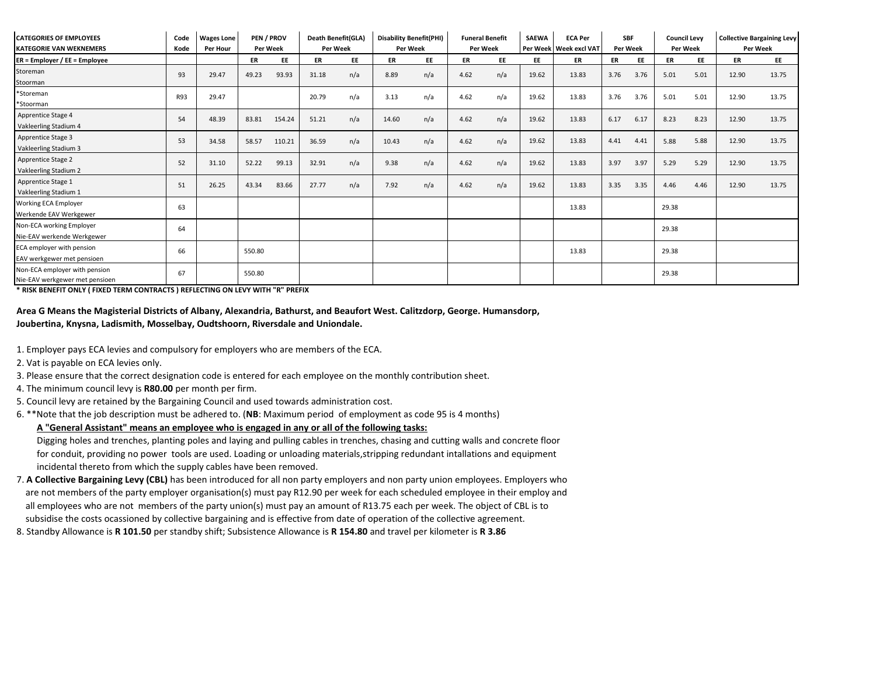| <b>CATEGORIES OF EMPLOYEES</b><br><b>KATEGORIE VAN WEKNEMERS</b> | Code<br>Kode | <b>Wages Lone</b><br><b>Per Hour</b> | <b>PEN / PROV</b> | Per Week | <b>Death Benefit(GLA)</b><br><b>Per Week</b> |     | <b>Disability Benefit(PHI)</b><br><b>Funeral Benefit</b><br>Per Week<br>Per Week |           | <b>SAEWA</b> | <b>ECA Per</b><br>Per Week   Week excl VAT<br><b>Per Week</b> |       | <b>SBF</b><br><b>Council Levv</b><br><b>Per Week</b> |      | <b>Collective Bargaining Levy</b><br>Per Week |       |           |       |       |
|------------------------------------------------------------------|--------------|--------------------------------------|-------------------|----------|----------------------------------------------|-----|----------------------------------------------------------------------------------|-----------|--------------|---------------------------------------------------------------|-------|------------------------------------------------------|------|-----------------------------------------------|-------|-----------|-------|-------|
| $ER = Employer / EE = Employee$                                  |              |                                      | ER                | EE       | ER                                           | EE  | ER                                                                               | <b>EE</b> | ER           | EE                                                            | EE    | ER                                                   | ER   | EE                                            | ER    | <b>EE</b> | ER    | EE    |
| Storeman<br>Stoorman                                             | 93           | 29.47                                | 49.23             | 93.93    | 31.18                                        | n/a | 8.89                                                                             | n/a       | 4.62         | n/a                                                           | 19.62 | 13.83                                                | 3.76 | 3.76                                          | 5.01  | 5.01      | 12.90 | 13.75 |
| *Storeman<br>*Stoorman                                           | <b>R93</b>   | 29.47                                |                   |          | 20.79                                        | n/a | 3.13                                                                             | n/a       | 4.62         | n/a                                                           | 19.62 | 13.83                                                | 3.76 | 3.76                                          | 5.01  | 5.01      | 12.90 | 13.75 |
| Apprentice Stage 4<br>Vakleerling Stadium 4                      | 54           | 48.39                                | 83.81             | 154.24   | 51.21                                        | n/a | 14.60                                                                            | n/a       | 4.62         | n/a                                                           | 19.62 | 13.83                                                | 6.17 | 6.17                                          | 8.23  | 8.23      | 12.90 | 13.75 |
| Apprentice Stage 3<br>Vakleerling Stadium 3                      | 53           | 34.58                                | 58.57             | 110.21   | 36.59                                        | n/a | 10.43                                                                            | n/a       | 4.62         | n/a                                                           | 19.62 | 13.83                                                | 4.41 | 4.41                                          | 5.88  | 5.88      | 12.90 | 13.75 |
| Apprentice Stage 2<br>Vakleerling Stadium 2                      | 52           | 31.10                                | 52.22             | 99.13    | 32.91                                        | n/a | 9.38                                                                             | n/a       | 4.62         | n/a                                                           | 19.62 | 13.83                                                | 3.97 | 3.97                                          | 5.29  | 5.29      | 12.90 | 13.75 |
| Apprentice Stage 1<br>Vakleerling Stadium 1                      | 51           | 26.25                                | 43.34             | 83.66    | 27.77                                        | n/a | 7.92                                                                             | n/a       | 4.62         | n/a                                                           | 19.62 | 13.83                                                | 3.35 | 3.35                                          | 4.46  | 4.46      | 12.90 | 13.75 |
| Working ECA Employer<br>Werkende EAV Werkgewer                   | 63           |                                      |                   |          |                                              |     |                                                                                  |           |              |                                                               |       | 13.83                                                |      |                                               | 29.38 |           |       |       |
| Non-ECA working Employer<br>Nie-EAV werkende Werkgewer           | 64           |                                      |                   |          |                                              |     |                                                                                  |           |              |                                                               |       |                                                      |      |                                               | 29.38 |           |       |       |
| ECA employer with pension<br>EAV werkgewer met pensioen          | 66           |                                      | 550.80            |          |                                              |     |                                                                                  |           |              |                                                               |       | 13.83                                                |      |                                               | 29.38 |           |       |       |
| Non-ECA employer with pension<br>Nie-EAV werkgewer met pensioen  | 67           |                                      | 550.80            |          |                                              |     |                                                                                  |           |              |                                                               |       |                                                      |      |                                               | 29.38 |           |       |       |

**\* RISK BENEFIT ONLY ( FIXED TERM CONTRACTS ) REFLECTING ON LEVY WITH "R" PREFIX** 

### **Area G Means the Magisterial Districts of Albany, Alexandria, Bathurst, and Beaufort West. Calitzdorp, George. Humansdorp, Joubertina, Knysna, Ladismith, Mosselbay, Oudtshoorn, Riversdale and Uniondale.**

- 1. Employer pays ECA levies and compulsory for employers who are members of the ECA.
- 2. Vat is payable on ECA levies only.
- 3. Please ensure that the correct designation code is entered for each employee on the monthly contribution sheet.
- 4. The minimum council levy is **R80.00** per month per firm.
- 5. Council levy are retained by the Bargaining Council and used towards administration cost.
- 6. \*\*Note that the job description must be adhered to. (**NB**: Maximum period of employment as code 95 is 4 months)

# **A "General Assistant" means an employee who is engaged in any or all of the following tasks:**

 Digging holes and trenches, planting poles and laying and pulling cables in trenches, chasing and cutting walls and concrete floor for conduit, providing no power tools are used. Loading or unloading materials,stripping redundant intallations and equipment incidental thereto from which the supply cables have been removed.

- are not members of the party employer organisation(s) must pay R12.90 per week for each scheduled employee in their employ and all employees who are not members of the party union(s) must pay an amount of R13.75 each per week. The object of CBL is to subsidise the costs ocassioned by collective bargaining and is effective from date of operation of the collective agreement. 7. **A Collective Bargaining Levy (CBL)** has been introduced for all non party employers and non party union employees. Employers who
- 8. Standby Allowance is **R 101.50** per standby shift; Subsistence Allowance is **R 154.80** and travel per kilometer is **R 3.86**